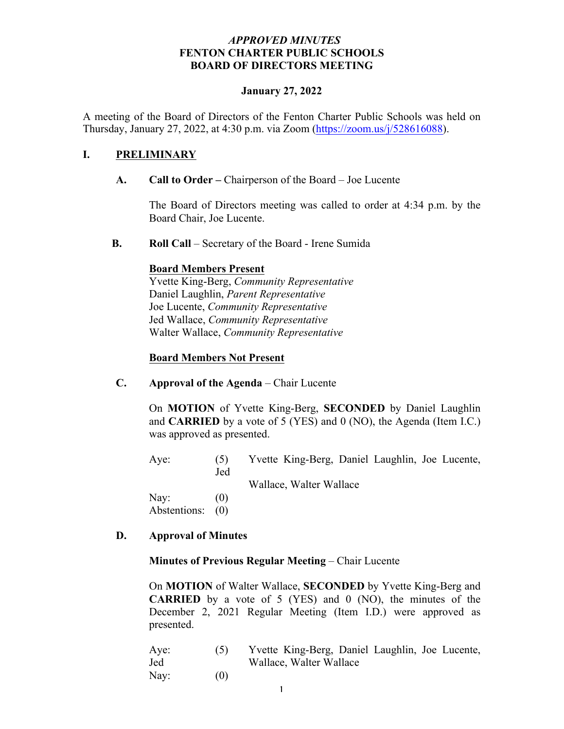### *APPROVED MINUTES* **FENTON CHARTER PUBLIC SCHOOLS BOARD OF DIRECTORS MEETING**

#### **January 27, 2022**

A meeting of the Board of Directors of the Fenton Charter Public Schools was held on Thursday, January 27, 2022, at 4:30 p.m. via Zoom (https://zoom.us/ $j/528616088$ ).

### **I. PRELIMINARY**

### **A. Call to Order –** Chairperson of the Board – Joe Lucente

The Board of Directors meeting was called to order at 4:34 p.m. by the Board Chair, Joe Lucente.

**B. Roll Call** – Secretary of the Board - Irene Sumida

#### **Board Members Present**

Yvette King-Berg, *Community Representative* Daniel Laughlin, *Parent Representative* Joe Lucente, *Community Representative* Jed Wallace, *Community Representative* Walter Wallace, *Community Representative* 

#### **Board Members Not Present**

**C. Approval of the Agenda** – Chair Lucente

On **MOTION** of Yvette King-Berg, **SECONDED** by Daniel Laughlin and **CARRIED** by a vote of 5 (YES) and 0 (NO), the Agenda (Item I.C.) was approved as presented.

Aye: (5) Yvette King-Berg, Daniel Laughlin, Joe Lucente, Jed

Wallace, Walter Wallace

Nav:  $(0)$ Abstentions: (0)

#### **D. Approval of Minutes**

#### **Minutes of Previous Regular Meeting** – Chair Lucente

On **MOTION** of Walter Wallace, **SECONDED** by Yvette King-Berg and **CARRIED** by a vote of 5 (YES) and 0 (NO), the minutes of the December 2, 2021 Regular Meeting (Item I.D.) were approved as presented.

| Aye: | (5) | Yvette King-Berg, Daniel Laughlin, Joe Lucente, |
|------|-----|-------------------------------------------------|
| Jed  |     | Wallace, Walter Wallace                         |
| Nay: | (0) |                                                 |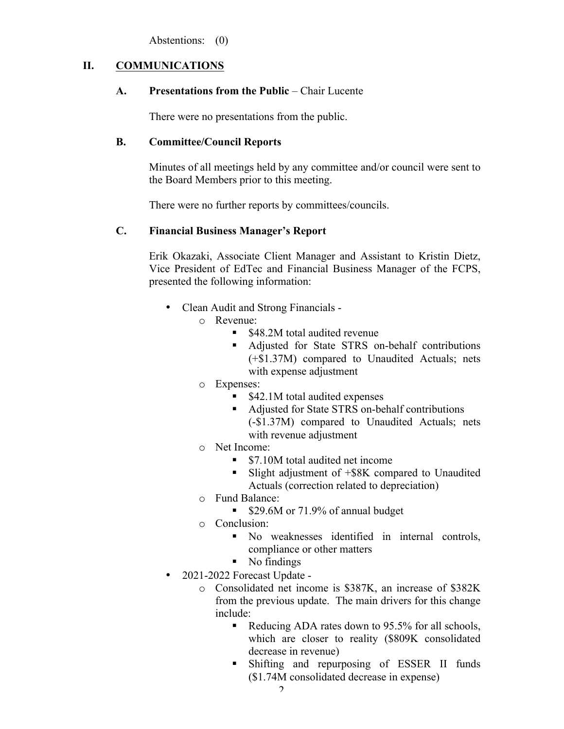Abstentions: (0)

## **II. COMMUNICATIONS**

### **A. Presentations from the Public** – Chair Lucente

There were no presentations from the public.

## **B. Committee/Council Reports**

Minutes of all meetings held by any committee and/or council were sent to the Board Members prior to this meeting.

There were no further reports by committees/councils.

# **C. Financial Business Manager's Report**

Erik Okazaki, Associate Client Manager and Assistant to Kristin Dietz, Vice President of EdTec and Financial Business Manager of the FCPS, presented the following information:

- Clean Audit and Strong Financials
	- o Revenue:
		- \$48.2M total audited revenue
		- Adjusted for State STRS on-behalf contributions (+\$1.37M) compared to Unaudited Actuals; nets with expense adjustment
	- o Expenses:
		- § \$42.1M total audited expenses
		- Adjusted for State STRS on-behalf contributions (-\$1.37M) compared to Unaudited Actuals; nets with revenue adjustment
	- o Net Income:
		- \$7.10M total audited net income
		- Slight adjustment of +\$8K compared to Unaudited Actuals (correction related to depreciation)
	- o Fund Balance:
		- \$29.6M or 71.9% of annual budget
	- o Conclusion:
		- § No weaknesses identified in internal controls, compliance or other matters
		- § No findings
- 2021-2022 Forecast Update
	- o Consolidated net income is \$387K, an increase of \$382K from the previous update. The main drivers for this change include:
		- Reducing ADA rates down to 95.5% for all schools, which are closer to reality (\$809K consolidated decrease in revenue)
		- § Shifting and repurposing of ESSER II funds (\$1.74M consolidated decrease in expense)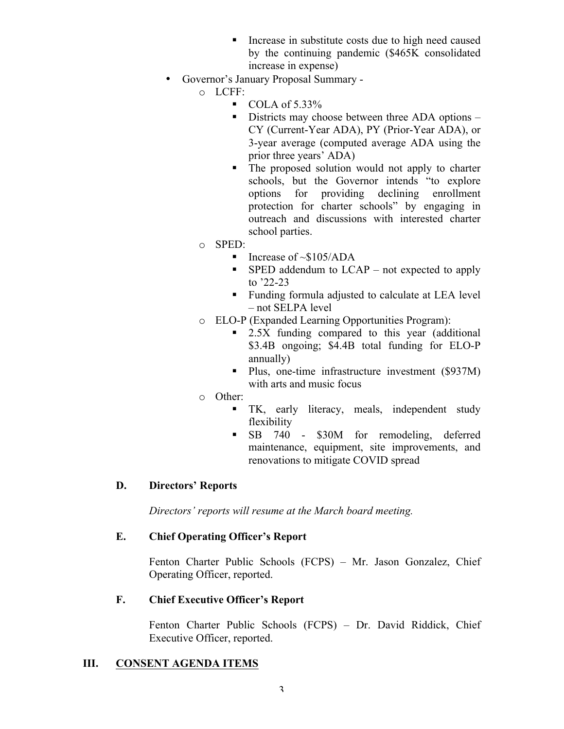- Increase in substitute costs due to high need caused by the continuing pandemic (\$465K consolidated increase in expense)
- Governor's January Proposal Summary
	- o LCFF:
		- $\blacksquare$  COLA of 5.33%
		- Districts may choose between three ADA options CY (Current-Year ADA), PY (Prior-Year ADA), or 3-year average (computed average ADA using the prior three years' ADA)
		- The proposed solution would not apply to charter schools, but the Governor intends "to explore options for providing declining enrollment protection for charter schools" by engaging in outreach and discussions with interested charter school parties.
	- o SPED:
		- Increase of  $\sim$ \$105/ADA
		- $\blacksquare$  SPED addendum to LCAP not expected to apply to '22-23
		- Funding formula adjusted to calculate at LEA level – not SELPA level
	- o ELO-P (Expanded Learning Opportunities Program):
		- 2.5X funding compared to this year (additional \$3.4B ongoing; \$4.4B total funding for ELO-P annually)
		- Plus, one-time infrastructure investment (\$937M) with arts and music focus
	- o Other:
		- § TK, early literacy, meals, independent study flexibility
		- § SB 740 \$30M for remodeling, deferred maintenance, equipment, site improvements, and renovations to mitigate COVID spread

# **D. Directors' Reports**

*Directors' reports will resume at the March board meeting.*

# **E. Chief Operating Officer's Report**

Fenton Charter Public Schools (FCPS) – Mr. Jason Gonzalez, Chief Operating Officer, reported.

# **F. Chief Executive Officer's Report**

Fenton Charter Public Schools (FCPS) – Dr. David Riddick, Chief Executive Officer, reported.

# **III. CONSENT AGENDA ITEMS**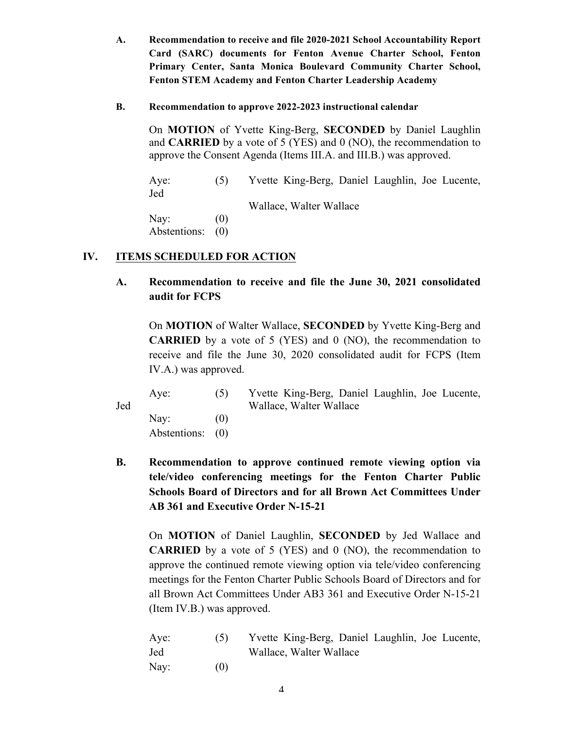- **A. Recommendation to receive and file 2020-2021 School Accountability Report Card (SARC) documents for Fenton Avenue Charter School, Fenton Primary Center, Santa Monica Boulevard Community Charter School, Fenton STEM Academy and Fenton Charter Leadership Academy**
- **B. Recommendation to approve 2022-2023 instructional calendar**

On **MOTION** of Yvette King-Berg, **SECONDED** by Daniel Laughlin and **CARRIED** by a vote of 5 (YES) and 0 (NO), the recommendation to approve the Consent Agenda (Items III.A. and III.B.) was approved.

Aye: (5) Yvette King-Berg, Daniel Laughlin, Joe Lucente, Jed Wallace, Walter Wallace Nay:  $(0)$ Abstentions: (0)

# **IV. ITEMS SCHEDULED FOR ACTION**

**A. Recommendation to receive and file the June 30, 2021 consolidated audit for FCPS**

On **MOTION** of Walter Wallace, **SECONDED** by Yvette King-Berg and **CARRIED** by a vote of 5 (YES) and 0 (NO), the recommendation to receive and file the June 30, 2020 consolidated audit for FCPS (Item IV.A.) was approved.

|     | Ave:             | (5)  | Yvette King-Berg, Daniel Laughlin, Joe Lucente, |
|-----|------------------|------|-------------------------------------------------|
| Jed |                  |      | Wallace, Walter Wallace                         |
|     | Nav:             | (()) |                                                 |
|     | Abstentions: (0) |      |                                                 |

**B. Recommendation to approve continued remote viewing option via tele/video conferencing meetings for the Fenton Charter Public Schools Board of Directors and for all Brown Act Committees Under AB 361 and Executive Order N-15-21**

On **MOTION** of Daniel Laughlin, **SECONDED** by Jed Wallace and **CARRIED** by a vote of 5 (YES) and 0 (NO), the recommendation to approve the continued remote viewing option via tele/video conferencing meetings for the Fenton Charter Public Schools Board of Directors and for all Brown Act Committees Under AB3 361 and Executive Order N-15-21 (Item IV.B.) was approved.

| Aye: |     | Yvette King-Berg, Daniel Laughlin, Joe Lucente, |
|------|-----|-------------------------------------------------|
| Jed  |     | Wallace, Walter Wallace                         |
| Nay: | (0) |                                                 |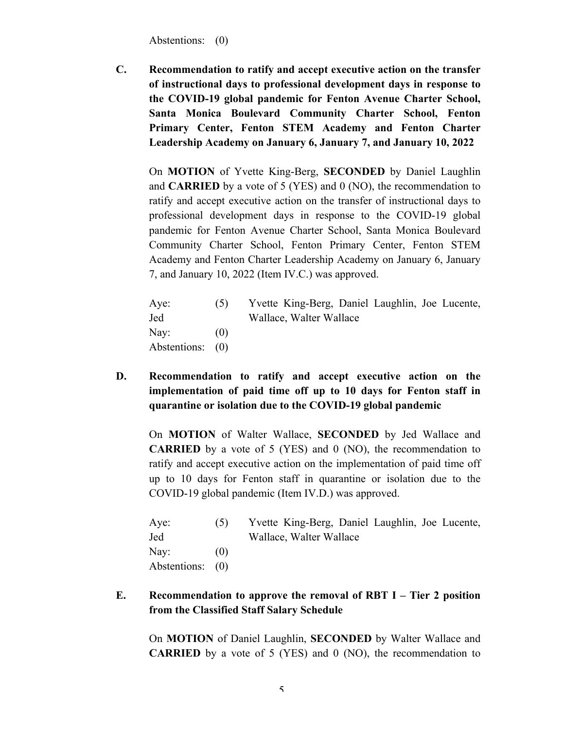Abstentions: (0)

**C. Recommendation to ratify and accept executive action on the transfer of instructional days to professional development days in response to the COVID-19 global pandemic for Fenton Avenue Charter School, Santa Monica Boulevard Community Charter School, Fenton Primary Center, Fenton STEM Academy and Fenton Charter Leadership Academy on January 6, January 7, and January 10, 2022**

On **MOTION** of Yvette King-Berg, **SECONDED** by Daniel Laughlin and **CARRIED** by a vote of 5 (YES) and 0 (NO), the recommendation to ratify and accept executive action on the transfer of instructional days to professional development days in response to the COVID-19 global pandemic for Fenton Avenue Charter School, Santa Monica Boulevard Community Charter School, Fenton Primary Center, Fenton STEM Academy and Fenton Charter Leadership Academy on January 6, January 7, and January 10, 2022 (Item IV.C.) was approved.

| Aye:             | (5)  | Yvette King-Berg, Daniel Laughlin, Joe Lucente, |  |
|------------------|------|-------------------------------------------------|--|
| Jed              |      | Wallace, Walter Wallace                         |  |
| Nay:             | (()) |                                                 |  |
| Abstentions: (0) |      |                                                 |  |

**D. Recommendation to ratify and accept executive action on the implementation of paid time off up to 10 days for Fenton staff in quarantine or isolation due to the COVID-19 global pandemic**

On **MOTION** of Walter Wallace, **SECONDED** by Jed Wallace and **CARRIED** by a vote of 5 (YES) and 0 (NO), the recommendation to ratify and accept executive action on the implementation of paid time off up to 10 days for Fenton staff in quarantine or isolation due to the COVID-19 global pandemic (Item IV.D.) was approved.

| Aye:             | (5) | Yvette King-Berg, Daniel Laughlin, Joe Lucente, |  |  |
|------------------|-----|-------------------------------------------------|--|--|
| Jed              |     | Wallace, Walter Wallace                         |  |  |
| $\text{Nay:}$    | (0) |                                                 |  |  |
| Abstentions: (0) |     |                                                 |  |  |

**E. Recommendation to approve the removal of RBT I – Tier 2 position from the Classified Staff Salary Schedule**

On **MOTION** of Daniel Laughlin, **SECONDED** by Walter Wallace and **CARRIED** by a vote of 5 (YES) and 0 (NO), the recommendation to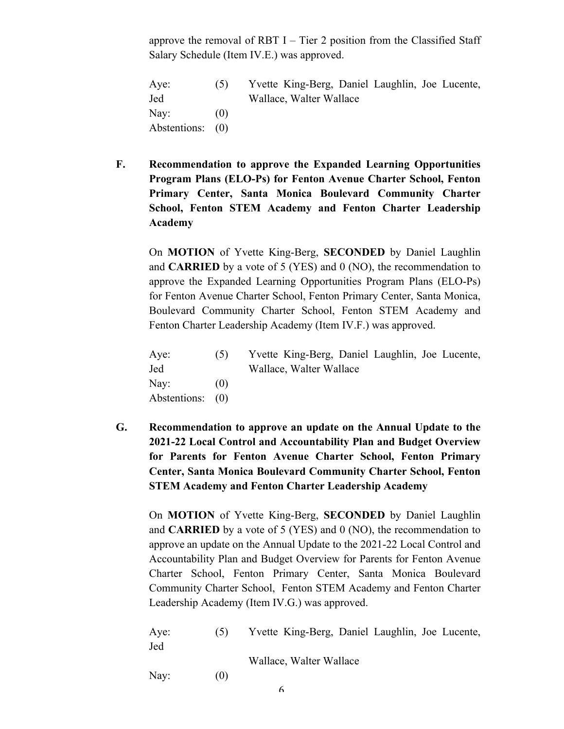approve the removal of RBT  $I$  – Tier 2 position from the Classified Staff Salary Schedule (Item IV.E.) was approved.

Aye: (5) Yvette King-Berg, Daniel Laughlin, Joe Lucente, Jed Wallace, Walter Wallace Nav:  $(0)$ Abstentions: (0)

**F. Recommendation to approve the Expanded Learning Opportunities Program Plans (ELO-Ps) for Fenton Avenue Charter School, Fenton Primary Center, Santa Monica Boulevard Community Charter School, Fenton STEM Academy and Fenton Charter Leadership Academy** 

On **MOTION** of Yvette King-Berg, **SECONDED** by Daniel Laughlin and **CARRIED** by a vote of 5 (YES) and 0 (NO), the recommendation to approve the Expanded Learning Opportunities Program Plans (ELO-Ps) for Fenton Avenue Charter School, Fenton Primary Center, Santa Monica, Boulevard Community Charter School, Fenton STEM Academy and Fenton Charter Leadership Academy (Item IV.F.) was approved.

| Aye:             | (5)               | Yvette King-Berg, Daniel Laughlin, Joe Lucente, |  |  |
|------------------|-------------------|-------------------------------------------------|--|--|
| Jed              |                   | Wallace, Walter Wallace                         |  |  |
| Nay:             | $\left( 0\right)$ |                                                 |  |  |
| Abstentions: (0) |                   |                                                 |  |  |

**G. Recommendation to approve an update on the Annual Update to the 2021-22 Local Control and Accountability Plan and Budget Overview for Parents for Fenton Avenue Charter School, Fenton Primary Center, Santa Monica Boulevard Community Charter School, Fenton STEM Academy and Fenton Charter Leadership Academy**

On **MOTION** of Yvette King-Berg, **SECONDED** by Daniel Laughlin and **CARRIED** by a vote of 5 (YES) and 0 (NO), the recommendation to approve an update on the Annual Update to the 2021-22 Local Control and Accountability Plan and Budget Overview for Parents for Fenton Avenue Charter School, Fenton Primary Center, Santa Monica Boulevard Community Charter School, Fenton STEM Academy and Fenton Charter Leadership Academy (Item IV.G.) was approved.

| Aye: | (5) | Yvette King-Berg, Daniel Laughlin, Joe Lucente, |
|------|-----|-------------------------------------------------|
| Jed  |     |                                                 |
|      |     | Wallace, Walter Wallace                         |
| Nay: | (0) |                                                 |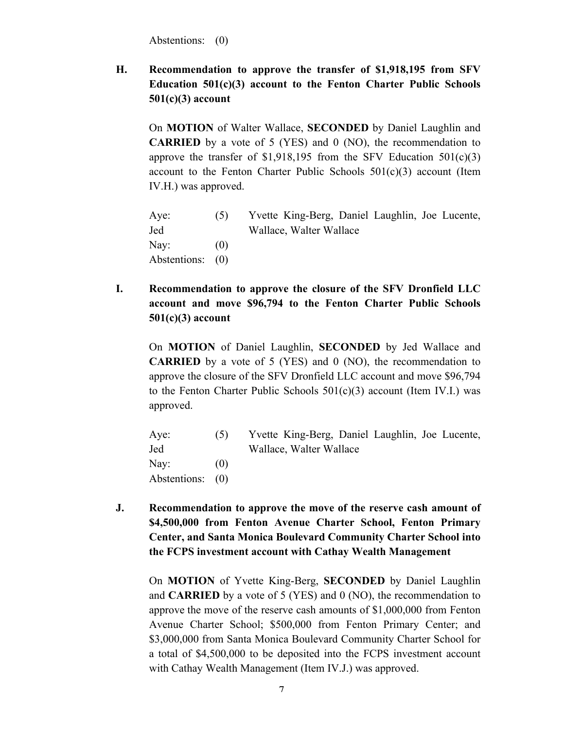Abstentions: (0)

**H. Recommendation to approve the transfer of \$1,918,195 from SFV Education 501(c)(3) account to the Fenton Charter Public Schools 501(c)(3) account**

On **MOTION** of Walter Wallace, **SECONDED** by Daniel Laughlin and **CARRIED** by a vote of 5 (YES) and 0 (NO), the recommendation to approve the transfer of  $$1,918,195$  from the SFV Education  $501(c)(3)$ account to the Fenton Charter Public Schools  $501(c)(3)$  account (Item IV.H.) was approved.

| Aye:             | (5)     | Yvette King-Berg, Daniel Laughlin, Joe Lucente, |
|------------------|---------|-------------------------------------------------|
| Jed              |         | Wallace, Walter Wallace                         |
| $\text{Nay:}$    | ( ( ) ) |                                                 |
| Abstentions: (0) |         |                                                 |

**I. Recommendation to approve the closure of the SFV Dronfield LLC account and move \$96,794 to the Fenton Charter Public Schools 501(c)(3) account**

On **MOTION** of Daniel Laughlin, **SECONDED** by Jed Wallace and **CARRIED** by a vote of 5 (YES) and 0 (NO), the recommendation to approve the closure of the SFV Dronfield LLC account and move \$96,794 to the Fenton Charter Public Schools  $501(c)(3)$  account (Item IV.I.) was approved.

| Aye:             | (5)  | Yvette King-Berg, Daniel Laughlin, Joe Lucente, |
|------------------|------|-------------------------------------------------|
| Jed              |      | Wallace, Walter Wallace                         |
| Nay:             | (()) |                                                 |
| Abstentions: (0) |      |                                                 |

**J. Recommendation to approve the move of the reserve cash amount of \$4,500,000 from Fenton Avenue Charter School, Fenton Primary Center, and Santa Monica Boulevard Community Charter School into the FCPS investment account with Cathay Wealth Management**

On **MOTION** of Yvette King-Berg, **SECONDED** by Daniel Laughlin and **CARRIED** by a vote of 5 (YES) and 0 (NO), the recommendation to approve the move of the reserve cash amounts of \$1,000,000 from Fenton Avenue Charter School; \$500,000 from Fenton Primary Center; and \$3,000,000 from Santa Monica Boulevard Community Charter School for a total of \$4,500,000 to be deposited into the FCPS investment account with Cathay Wealth Management (Item IV.J.) was approved.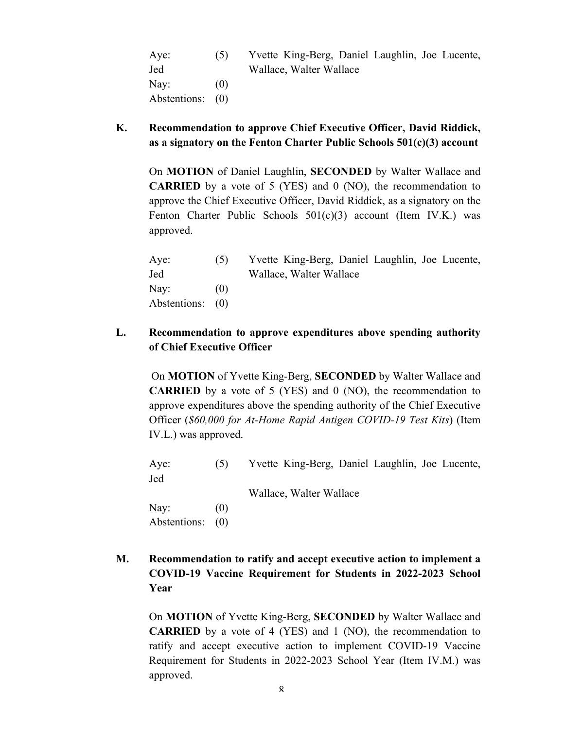| Aye:             | (5) | Yvette King-Berg, Daniel Laughlin, Joe Lucente, |
|------------------|-----|-------------------------------------------------|
| Jed              |     | Wallace, Walter Wallace                         |
| Nay:             | (0) |                                                 |
| Abstentions: (0) |     |                                                 |

**K. Recommendation to approve Chief Executive Officer, David Riddick, as a signatory on the Fenton Charter Public Schools 501(c)(3) account**

On **MOTION** of Daniel Laughlin, **SECONDED** by Walter Wallace and **CARRIED** by a vote of 5 (YES) and 0 (NO), the recommendation to approve the Chief Executive Officer, David Riddick, as a signatory on the Fenton Charter Public Schools 501(c)(3) account (Item IV.K.) was approved.

| (5)              | Yvette King-Berg, Daniel Laughlin, Joe Lucente, |
|------------------|-------------------------------------------------|
|                  | Wallace, Walter Wallace                         |
| (())             |                                                 |
| Abstentions: (0) |                                                 |
|                  |                                                 |

**L. Recommendation to approve expenditures above spending authority of Chief Executive Officer**

On **MOTION** of Yvette King-Berg, **SECONDED** by Walter Wallace and **CARRIED** by a vote of 5 (YES) and 0 (NO), the recommendation to approve expenditures above the spending authority of the Chief Executive Officer (*\$60,000 for At-Home Rapid Antigen COVID-19 Test Kits*) (Item IV.L.) was approved.

Aye: (5) Yvette King-Berg, Daniel Laughlin, Joe Lucente, Jed Wallace, Walter Wallace Nay:  $(0)$ Abstentions: (0)

**M. Recommendation to ratify and accept executive action to implement a COVID-19 Vaccine Requirement for Students in 2022-2023 School Year**

On **MOTION** of Yvette King-Berg, **SECONDED** by Walter Wallace and **CARRIED** by a vote of 4 (YES) and 1 (NO), the recommendation to ratify and accept executive action to implement COVID-19 Vaccine Requirement for Students in 2022-2023 School Year (Item IV.M.) was approved.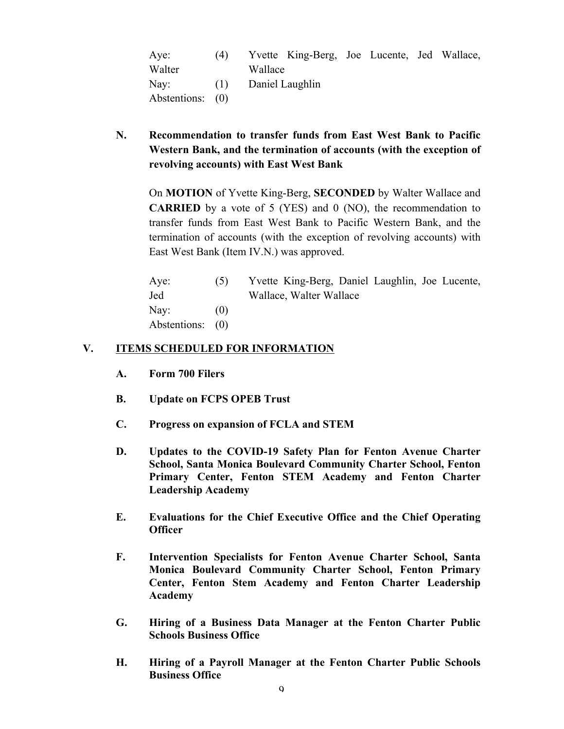| Aye:             | (4) |         | Yvette King-Berg, Joe Lucente, Jed Wallace, |  |  |
|------------------|-----|---------|---------------------------------------------|--|--|
| Walter           |     | Wallace |                                             |  |  |
| $\text{Nay:}$    | (1) |         | Daniel Laughlin                             |  |  |
| Abstentions: (0) |     |         |                                             |  |  |

**N. Recommendation to transfer funds from East West Bank to Pacific Western Bank, and the termination of accounts (with the exception of revolving accounts) with East West Bank**

On **MOTION** of Yvette King-Berg, **SECONDED** by Walter Wallace and **CARRIED** by a vote of 5 (YES) and 0 (NO), the recommendation to transfer funds from East West Bank to Pacific Western Bank, and the termination of accounts (with the exception of revolving accounts) with East West Bank (Item IV.N.) was approved.

| Aye:             | (5)  | Yvette King-Berg, Daniel Laughlin, Joe Lucente, |
|------------------|------|-------------------------------------------------|
| Jed              |      | Wallace, Walter Wallace                         |
| Nay:             | (()) |                                                 |
| Abstentions: (0) |      |                                                 |

#### **V. ITEMS SCHEDULED FOR INFORMATION**

- **A. Form 700 Filers**
- **B. Update on FCPS OPEB Trust**
- **C. Progress on expansion of FCLA and STEM**
- **D. Updates to the COVID-19 Safety Plan for Fenton Avenue Charter School, Santa Monica Boulevard Community Charter School, Fenton Primary Center, Fenton STEM Academy and Fenton Charter Leadership Academy**
- **E. Evaluations for the Chief Executive Office and the Chief Operating Officer**
- **F. Intervention Specialists for Fenton Avenue Charter School, Santa Monica Boulevard Community Charter School, Fenton Primary Center, Fenton Stem Academy and Fenton Charter Leadership Academy**
- **G. Hiring of a Business Data Manager at the Fenton Charter Public Schools Business Office**
- **H. Hiring of a Payroll Manager at the Fenton Charter Public Schools Business Office**